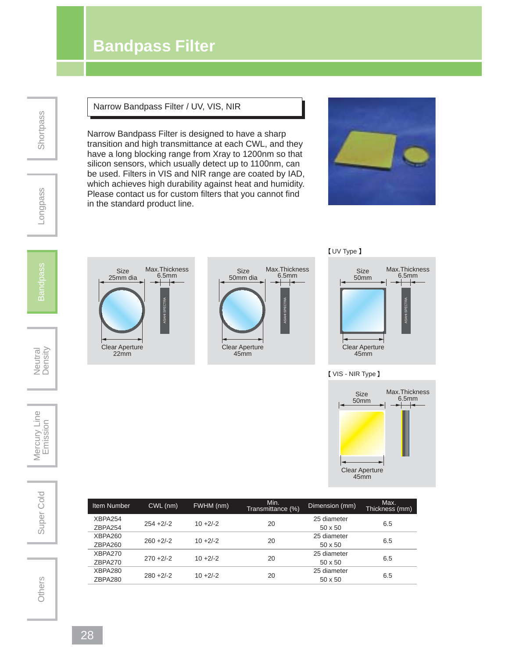# **Bandpass Filter**

**Shortpass** 

### Narrow Bandpass Filter / UV, VIS, NIR

Narrow Bandpass Filter is designed to have a sharp transition and high transmittance at each CWL, and they have a long blocking range from Xray to 1200nm so that silicon sensors, which usually detect up to 1100nm, can be used. Filters in VIS and NIR range are coated by IAD, which achieves high durability against heat and humidity. Please contact us for custom filters that you cannot find in the standard product line.









### VIS - NIR Type



| <b>Item Number</b> | CWL (nm)     | FWHM (nm)   | Min.<br>Transmittance (%) | Dimension (mm) | Max.<br>Thickness (mm) |
|--------------------|--------------|-------------|---------------------------|----------------|------------------------|
| XBPA254            |              |             |                           | 25 diameter    |                        |
| ZBPA254            | $254 + 2/-2$ | $10 + 2/-2$ | 20                        | $50 \times 50$ | 6.5                    |
| XBPA260            |              |             |                           | 25 diameter    |                        |
| ZBPA260            | $260 + 2/-2$ | $10 + 2/-2$ | 20                        | $50 \times 50$ | 6.5                    |
| XBPA270            | $270 + 2/-2$ | $10 + 2/-2$ |                           | 25 diameter    |                        |
| ZBPA270            |              |             | 20                        | $50 \times 50$ | 6.5                    |
| XBPA280            |              |             |                           | 25 diameter    |                        |
| ZBPA280            | $280 + 2/-2$ | $10 + 2/-2$ | 20                        | $50 \times 50$ | 6.5                    |

Longpass

Neutral<br>Density

Mercury Line<br>Emission

Super Cold | Mercury Line<br>
Emission Super Cold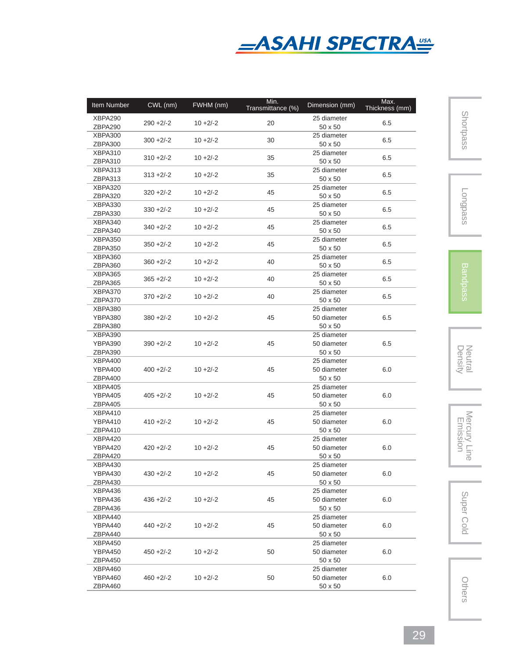

| Item Number | CWL (nm)     | FWHM (nm)   | Min.<br>Transmittance (%) | Dimension (mm) | Max.<br>Thickness (mm) |
|-------------|--------------|-------------|---------------------------|----------------|------------------------|
| XBPA290     |              |             |                           | 25 diameter    |                        |
| ZBPA290     | $290 + 2/-2$ | $10 + 2/-2$ | 20                        | 50 x 50        | 6.5                    |
| XBPA300     |              |             |                           | 25 diameter    |                        |
| ZBPA300     | $300 + 2/-2$ | $10 + 2/-2$ | 30                        | 50 x 50        | 6.5                    |
| XBPA310     |              |             |                           | 25 diameter    |                        |
| ZBPA310     | $310 + 2/-2$ | $10 + 2/-2$ | 35                        | 50 x 50        | 6.5                    |
| XBPA313     |              |             |                           | 25 diameter    |                        |
| ZBPA313     | $313 + 2/-2$ | $10 + 2/-2$ | 35                        | 50 x 50        | 6.5                    |
| XBPA320     |              |             |                           | 25 diameter    |                        |
| ZBPA320     | $320 + 2/-2$ | $10 + 2/-2$ | 45                        | 50 x 50        | 6.5                    |
| XBPA330     |              |             |                           | 25 diameter    |                        |
| ZBPA330     | $330 + 2/-2$ | $10 + 2/-2$ | 45                        | 50 x 50        | 6.5                    |
| XBPA340     |              |             |                           | 25 diameter    |                        |
| ZBPA340     | $340 + 2/-2$ | $10 + 2/-2$ | 45                        | 50 x 50        | 6.5                    |
| XBPA350     |              |             |                           | 25 diameter    |                        |
| ZBPA350     | $350 + 2/-2$ | $10 + 2/-2$ | 45                        | 50 x 50        | 6.5                    |
| XBPA360     |              |             |                           | 25 diameter    |                        |
| ZBPA360     | $360 + 2/-2$ | $10 + 2/-2$ | 40                        | 50 x 50        | 6.5                    |
| XBPA365     |              |             |                           | 25 diameter    |                        |
| ZBPA365     | $365 + 2/-2$ | $10 + 2/-2$ | 40                        | 50 x 50        | 6.5                    |
| XBPA370     |              |             |                           | 25 diameter    |                        |
| ZBPA370     | $370 + 2/-2$ | $10 + 2/-2$ | 40                        | 50 x 50        | 6.5                    |
| XBPA380     |              |             |                           | 25 diameter    |                        |
| YBPA380     | $380 + 2/-2$ | $10 + 2/-2$ | 45                        | 50 diameter    | 6.5                    |
| ZBPA380     |              |             |                           | 50 x 50        |                        |
| XBPA390     |              |             |                           | 25 diameter    |                        |
| YBPA390     | $390 + 2/-2$ | $10 + 2/-2$ | 45                        | 50 diameter    | 6.5                    |
| ZBPA390     |              |             |                           | 50 x 50        |                        |
| XBPA400     |              |             |                           | 25 diameter    |                        |
| YBPA400     | $400 + 2/-2$ | $10 + 2/-2$ | 45                        | 50 diameter    | 6.0                    |
| ZBPA400     |              |             |                           | 50 x 50        |                        |
| XBPA405     |              |             |                           | 25 diameter    |                        |
| YBPA405     | $405 + 2/-2$ | $10 + 2/-2$ | 45                        | 50 diameter    | 6.0                    |
| ZBPA405     |              |             |                           | 50 x 50        |                        |
| XBPA410     |              |             |                           | 25 diameter    |                        |
| YBPA410     | $410 + 2/-2$ | $10 + 2/-2$ | 45                        | 50 diameter    | 6.0                    |
| ZBPA410     |              |             |                           | 50 x 50        |                        |
| XBPA420     |              |             |                           | 25 diameter    |                        |
| YBPA420     | $420 + 2/-2$ | $10 + 2/-2$ | 45                        | 50 diameter    | 6.0                    |
| ZBPA420     |              |             |                           | 50 x 50        |                        |
| XBPA430     |              |             |                           | 25 diameter    |                        |
| YBPA430     | $430 + 2/-2$ | $10 + 2/-2$ | 45                        | 50 diameter    | 6.0                    |
| ZBPA430     |              |             |                           | 50 x 50        |                        |
| XBPA436     |              |             |                           | 25 diameter    |                        |
| YBPA436     | $436 + 2/-2$ | $10 + 2/-2$ | 45                        | 50 diameter    | 6.0                    |
| ZBPA436     |              |             |                           | 50 x 50        |                        |
| XBPA440     |              |             |                           | 25 diameter    |                        |
| YBPA440     | $440 + 2/-2$ | $10 + 2/-2$ | 45                        | 50 diameter    | 6.0                    |
| ZBPA440     |              |             |                           | 50 x 50        |                        |
| XBPA450     |              |             |                           | 25 diameter    |                        |
| YBPA450     | $450 + 2/-2$ | $10 + 2/-2$ | 50                        | 50 diameter    | 6.0                    |
| ZBPA450     |              |             |                           | 50 x 50        |                        |
| XBPA460     |              |             |                           | 25 diameter    |                        |
| YBPA460     | $460 + 2/-2$ | $10 + 2/-2$ | 50                        | 50 diameter    | 6.0                    |
| ZBPA460     |              |             |                           | 50 x 50        |                        |

Longpass

Neutral<br>Density

Density Neutral Mercury Line Emission Super ColdMercury Line<br>Emission

Super Cold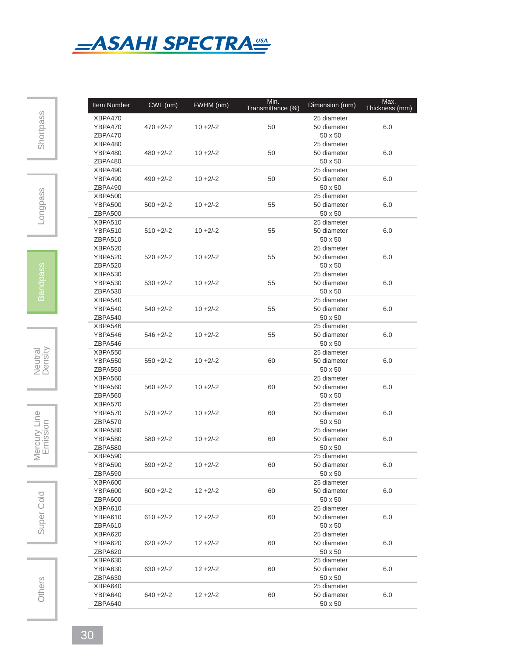

| Item Number    | CWL (nm)     | FWHM(nm)    | Min.<br>Transmittance (%) | Dimension (mm) | Max.<br>Thickness (mm) |
|----------------|--------------|-------------|---------------------------|----------------|------------------------|
| XBPA470        |              |             |                           | 25 diameter    |                        |
| YBPA470        | $470 + 2/-2$ | $10 + 2/-2$ | 50                        | 50 diameter    | 6.0                    |
| ZBPA470        |              |             |                           | 50 x 50        |                        |
| XBPA480        |              |             |                           | 25 diameter    |                        |
| YBPA480        | $480 + 2/-2$ | $10 + 2/-2$ | 50                        | 50 diameter    | 6.0                    |
| ZBPA480        |              |             |                           | 50 x 50        |                        |
| XBPA490        |              |             |                           | 25 diameter    |                        |
| YBPA490        | $490 + 2/-2$ | $10 + 2/-2$ | 50                        | 50 diameter    | 6.0                    |
| ZBPA490        |              |             |                           | 50 x 50        |                        |
| XBPA500        |              |             |                           | 25 diameter    |                        |
| <b>YBPA500</b> | $500 + 2/-2$ | $10 + 2/-2$ | 55                        | 50 diameter    | 6.0                    |
| ZBPA500        |              |             |                           | 50 x 50        |                        |
|                |              |             |                           |                |                        |
| XBPA510        |              |             |                           | 25 diameter    |                        |
| <b>YBPA510</b> | $510 + 2/-2$ | $10 + 2/-2$ | 55                        | 50 diameter    | 6.0                    |
| ZBPA510        |              |             |                           | 50 x 50        |                        |
| XBPA520        |              |             |                           | 25 diameter    |                        |
| <b>YBPA520</b> | $520 + 2/-2$ | $10 + 2/-2$ | 55                        | 50 diameter    | 6.0                    |
| ZBPA520        |              |             |                           | 50 x 50        |                        |
| XBPA530        |              |             |                           | 25 diameter    |                        |
| YBPA530        | $530 + 2/-2$ | $10 + 2/-2$ | 55                        | 50 diameter    | 6.0                    |
| ZBPA530        |              |             |                           | 50 x 50        |                        |
| XBPA540        |              |             |                           | 25 diameter    |                        |
| YBPA540        | $540 + 2/-2$ | $10 + 2/-2$ | 55                        | 50 diameter    | 6.0                    |
| ZBPA540        |              |             |                           | 50 x 50        |                        |
| XBPA546        |              |             |                           | 25 diameter    |                        |
| YBPA546        | $546 + 2/-2$ | $10 + 2/-2$ | 55                        | 50 diameter    | 6.0                    |
| ZBPA546        |              |             |                           | 50 x 50        |                        |
| XBPA550        |              |             |                           | 25 diameter    |                        |
| <b>YBPA550</b> | $550 + 2/-2$ | $10 + 2/-2$ | 60                        | 50 diameter    | 6.0                    |
| ZBPA550        |              |             |                           | 50 x 50        |                        |
| XBPA560        |              |             |                           | 25 diameter    |                        |
| <b>YBPA560</b> | $560 + 2/-2$ | $10 + 2/-2$ | 60                        | 50 diameter    | 6.0                    |
| ZBPA560        |              |             |                           | 50 x 50        |                        |
| XBPA570        |              |             |                           | 25 diameter    |                        |
| YBPA570        | $570 + 2/-2$ | $10 + 2/-2$ | 60                        | 50 diameter    | 6.0                    |
| ZBPA570        |              |             |                           | 50 x 50        |                        |
| XBPA580        |              |             |                           | 25 diameter    |                        |
| YBPA580        | $580 + 2/-2$ | $10 + 2/-2$ | 60                        | 50 diameter    | 6.0                    |
| ZBPA580        |              |             |                           | 50 x 50        |                        |
| XBPA590        |              |             |                           | 25 diameter    |                        |
| YBPA590        | $590 + 2/-2$ | $10 + 2/-2$ | 60                        | 50 diameter    | 6.0                    |
| ZBPA590        |              |             |                           | 50 x 50        |                        |
|                |              |             |                           | 25 diameter    |                        |
| XBPA600        |              |             |                           |                |                        |
| <b>YBPA600</b> | $600 + 2/-2$ | $12 + 2/-2$ | 60                        | 50 diameter    | 6.0                    |
| ZBPA600        |              |             |                           | 50 x 50        |                        |
| XBPA610        |              |             |                           | 25 diameter    |                        |
| <b>YBPA610</b> | 610 +2/-2    | $12 + 2/-2$ | 60                        | 50 diameter    | 6.0                    |
| ZBPA610        |              |             |                           | 50 x 50        |                        |
| XBPA620        |              |             |                           | 25 diameter    |                        |
| YBPA620        | $620 + 2/-2$ | $12 + 2/-2$ | 60                        | 50 diameter    | 6.0                    |
| ZBPA620        |              |             |                           | 50 x 50        |                        |
| XBPA630        |              |             |                           | 25 diameter    |                        |
| YBPA630        | $630 + 2/-2$ | $12 + 2/-2$ | 60                        | 50 diameter    | 6.0                    |
| ZBPA630        |              |             |                           | 50 x 50        |                        |
| XBPA640        |              |             |                           | 25 diameter    |                        |
| YBPA640        | $640 + 2/-2$ | $12 + 2/-2$ | 60                        | 50 diameter    | 6.0                    |
| ZBPA640        |              |             |                           | 50 x 50        |                        |

Neutral<br>Density

Mercury Line

Super Cold | Mercury Line<br>
Emission Super Cold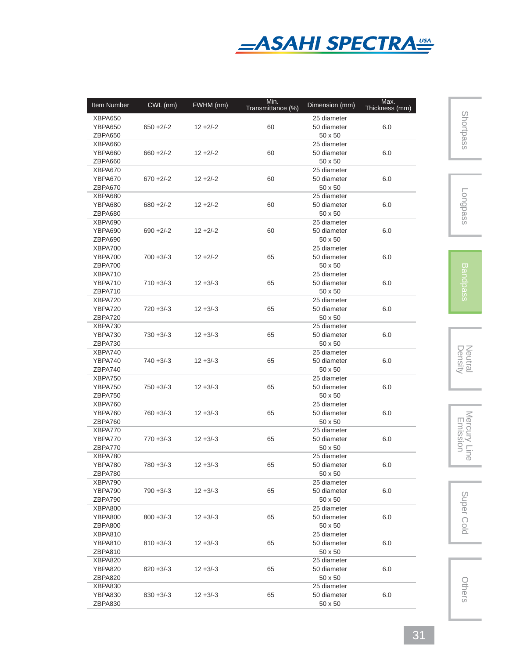

| Item Number | CWL (nm)     | FWHM (nm)   | Min.<br>Transmittance (%) | Dimension (mm) | Max.<br>Thickness (mm) |
|-------------|--------------|-------------|---------------------------|----------------|------------------------|
| XBPA650     |              |             |                           | 25 diameter    |                        |
| YBPA650     | $650 + 2/-2$ | $12 + 2/-2$ | 60                        | 50 diameter    | 6.0                    |
| ZBPA650     |              |             |                           | 50 x 50        |                        |
| XBPA660     |              |             |                           | 25 diameter    |                        |
| YBPA660     | $660 + 2/-2$ | $12 + 2/-2$ | 60                        | 50 diameter    | 6.0                    |
| ZBPA660     |              |             |                           | 50 x 50        |                        |
| XBPA670     |              |             |                           | 25 diameter    |                        |
| YBPA670     | $670 + 2/-2$ | $12 + 2/-2$ | 60                        | 50 diameter    | 6.0                    |
| ZBPA670     |              |             |                           | 50 x 50        |                        |
| XBPA680     |              |             |                           | 25 diameter    |                        |
| YBPA680     | $680 + 2/-2$ | $12 + 2/-2$ | 60                        | 50 diameter    | 6.0                    |
| ZBPA680     |              |             |                           | 50 x 50        |                        |
|             |              |             |                           | 25 diameter    |                        |
| XBPA690     |              |             |                           |                |                        |
| YBPA690     | $690 + 2/-2$ | $12 + 2/-2$ | 60                        | 50 diameter    | 6.0                    |
| ZBPA690     |              |             |                           | 50 x 50        |                        |
| XBPA700     |              |             |                           | 25 diameter    |                        |
| YBPA700     | $700 + 3/-3$ | $12 + 2/-2$ | 65                        | 50 diameter    | 6.0                    |
| ZBPA700     |              |             |                           | 50 x 50        |                        |
| XBPA710     |              |             |                           | 25 diameter    |                        |
| YBPA710     | $710 + 3/-3$ | $12 + 3/-3$ | 65                        | 50 diameter    | 6.0                    |
| ZBPA710     |              |             |                           | 50 x 50        |                        |
| XBPA720     |              |             |                           | 25 diameter    |                        |
| YBPA720     | $720 + 3/-3$ | $12 + 3/-3$ | 65                        | 50 diameter    | 6.0                    |
| ZBPA720     |              |             |                           | 50 x 50        |                        |
| XBPA730     |              |             |                           | 25 diameter    |                        |
| YBPA730     | $730 + 3/-3$ | $12 + 3/-3$ | 65                        | 50 diameter    | 6.0                    |
| ZBPA730     |              |             |                           | 50 x 50        |                        |
| XBPA740     |              |             |                           | 25 diameter    |                        |
| YBPA740     | $740 + 3/-3$ | $12 + 3/-3$ | 65                        | 50 diameter    | 6.0                    |
| ZBPA740     |              |             |                           | 50 x 50        |                        |
| XBPA750     |              |             |                           | 25 diameter    |                        |
| YBPA750     | $750 + 3/-3$ | $12 + 3/-3$ | 65                        | 50 diameter    | 6.0                    |
| ZBPA750     |              |             |                           | 50 x 50        |                        |
| XBPA760     |              |             |                           | 25 diameter    |                        |
| YBPA760     | $760 + 3/-3$ | $12 + 3/-3$ | 65                        | 50 diameter    | 6.0                    |
| ZBPA760     |              |             |                           | 50 x 50        |                        |
|             |              |             |                           |                |                        |
| XBPA770     |              |             |                           | 25 diameter    |                        |
| YBPA770     | $770 + 3/-3$ | $12 + 3/-3$ | 65                        | 50 diameter    | 6.0                    |
| ZBPA770     |              |             |                           | $50 \times 50$ |                        |
| XBPA780     |              |             |                           | 25 diameter    |                        |
| YBPA780     | $780 + 3/-3$ | $12 + 3/-3$ | 65                        | 50 diameter    | 6.0                    |
| ZBPA780     |              |             |                           | 50 x 50        |                        |
| XBPA790     |              |             |                           | 25 diameter    |                        |
| YBPA790     | $790 + 3/-3$ | $12 + 3/-3$ | 65                        | 50 diameter    | 6.0                    |
| ZBPA790     |              |             |                           | 50 x 50        |                        |
| XBPA800     |              |             |                           | 25 diameter    |                        |
| YBPA800     | $800 + 3/-3$ | $12 + 3/-3$ | 65                        | 50 diameter    | 6.0                    |
| ZBPA800     |              |             |                           | 50 x 50        |                        |
| XBPA810     |              |             |                           | 25 diameter    |                        |
| YBPA810     | $810 + 3/-3$ | $12 + 3/-3$ | 65                        | 50 diameter    | 6.0                    |
| ZBPA810     |              |             |                           | 50 x 50        |                        |
| XBPA820     |              |             |                           | 25 diameter    |                        |
| YBPA820     | $820 + 3/-3$ | $12 + 3/-3$ | 65                        | 50 diameter    | 6.0                    |
| ZBPA820     |              |             |                           | 50 x 50        |                        |
| XBPA830     |              |             |                           | 25 diameter    |                        |
| YBPA830     | $830 + 3/-3$ | $12 + 3/-3$ | 65                        | 50 diameter    | 6.0                    |
| ZBPA830     |              |             |                           | 50 x 50        |                        |

Longpass

Neutral<br>Density

Density Neutral Mercury Line Emission Super ColdMercury Line<br>Emission

Super Cold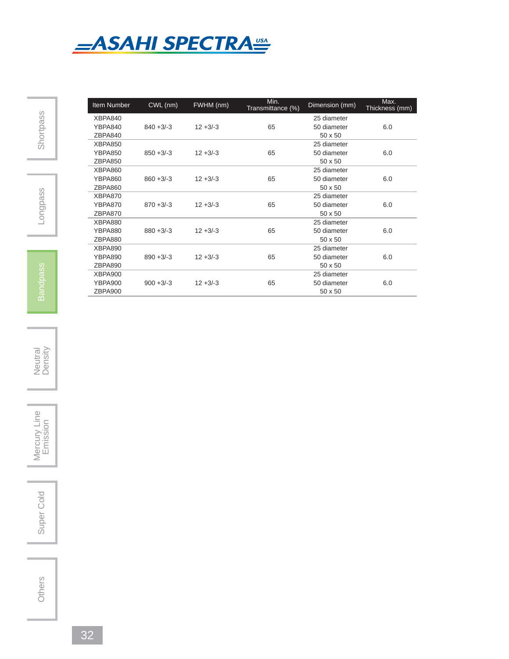

| <b>Item Number</b> | CWL (nm)     | FWHM (nm)   | Min.<br>Transmittance (%) | Dimension (mm) | Max.<br>Thickness (mm) |
|--------------------|--------------|-------------|---------------------------|----------------|------------------------|
| XBPA840            |              |             |                           | 25 diameter    |                        |
| YBPA840            | $840 + 3/-3$ | $12 + 3/3$  | 65                        | 50 diameter    | 6.0                    |
| ZBPA840            |              |             |                           | $50 \times 50$ |                        |
| XBPA850            |              |             |                           | 25 diameter    |                        |
| <b>YBPA850</b>     | $850 + 3/-3$ | $12 + 3/-3$ | 65                        | 50 diameter    | 6.0                    |
| ZBPA850            |              |             |                           | $50 \times 50$ |                        |
| <b>XBPA860</b>     |              |             |                           | 25 diameter    |                        |
| <b>YBPA860</b>     | $860 + 3/-3$ | $12 + 3/-3$ | 65                        | 50 diameter    | 6.0                    |
| ZBPA860            |              |             |                           | $50 \times 50$ |                        |
| XBPA870            |              |             |                           | 25 diameter    |                        |
| YBPA870            | $870 + 3/-3$ | $12 + 3/-3$ | 65                        | 50 diameter    | 6.0                    |
| ZBPA870            |              |             |                           | $50 \times 50$ |                        |
| XBPA880            |              |             |                           | 25 diameter    |                        |
| <b>YBPA880</b>     | $880 + 3/-3$ | $12 + 3/-3$ | 65                        | 50 diameter    | 6.0                    |
| ZBPA880            |              |             |                           | $50 \times 50$ |                        |
| XBPA890            |              |             |                           | 25 diameter    |                        |
| <b>YBPA890</b>     | $890 + 3/-3$ | $12 + 3/-3$ | 65                        | 50 diameter    | 6.0                    |
| ZBPA890            |              |             |                           | $50 \times 50$ |                        |
| XBPA900            |              |             |                           | 25 diameter    |                        |
| <b>YBPA900</b>     | $900 + 3/-3$ | $12 + 3/-3$ | 65                        | 50 diameter    | 6.0                    |
| ZBPA900            |              |             |                           | 50 x 50        |                        |

Neutral<br>Density

Mercury Line Super Cold | Mercury Line<br>
Emission

Super Cold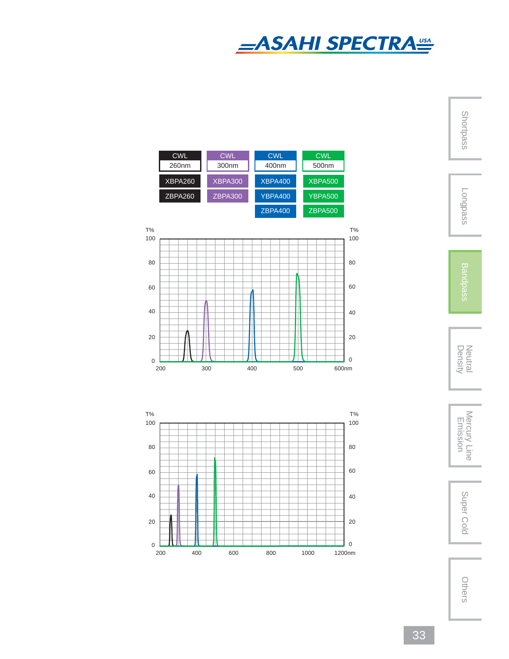

Shortpass



Neutral<br>Density

Density Neutral Mercury Line Emission Super ColdMercury Line<br>Emission

Super Cold





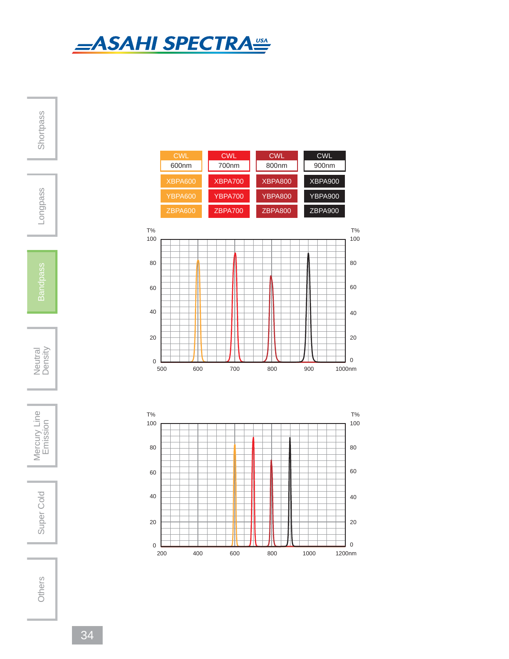



80

60

40

20

0

80

60

40

20

0

Super Cold

Shortpass

Longpass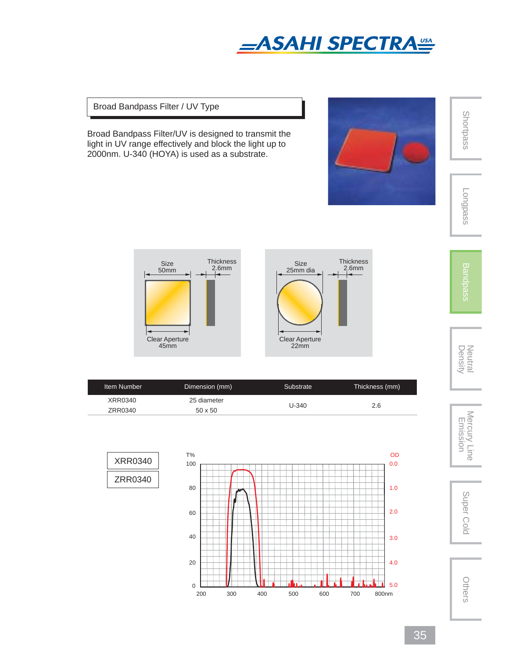

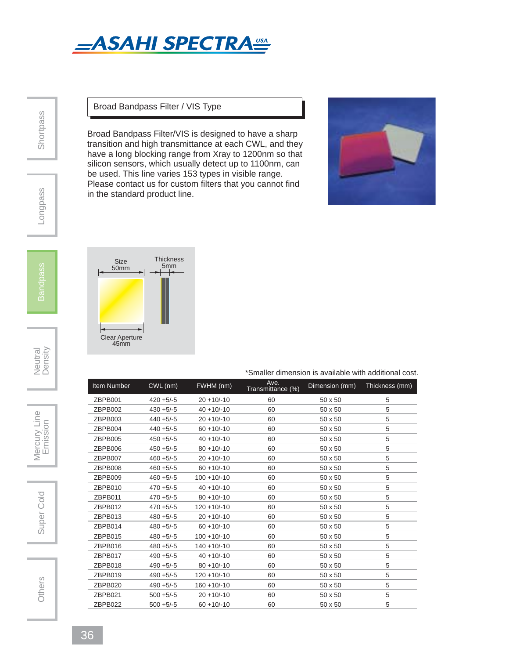

### Broad Bandpass Filter / VIS Type

Broad Bandpass Filter/VIS is designed to have a sharp transition and high transmittance at each CWL, and they have a long blocking range from Xray to 1200nm so that silicon sensors, which usually detect up to 1100nm, can be used. This line varies 153 types in visible range. Please contact us for custom filters that you cannot find in the standard product line.





\*Smaller dimension is available with additional cost.

| Item Number | CWL (nm)     | FWHM (nm)      | Ave.<br>Transmittance (%) | Dimension (mm) | Thickness (mm) |
|-------------|--------------|----------------|---------------------------|----------------|----------------|
| ZBPB001     | $420 + 5/-5$ | $20 + 10/-10$  | 60                        | 50 x 50        | 5              |
| ZBPB002     | $430 + 5/-5$ | $40 + 10/-10$  | 60                        | 50 x 50        | 5              |
| ZBPB003     | $440 + 5/-5$ | $20 + 10/-10$  | 60                        | 50 x 50        | 5              |
| ZBPB004     | $440 + 5/-5$ | $60 + 10/-10$  | 60                        | $50 \times 50$ | 5              |
| ZBPB005     | $450 + 5/-5$ | $40 + 10/-10$  | 60                        | 50 x 50        | 5              |
| ZBPB006     | $450 + 5/-5$ | $80 + 10/-10$  | 60                        | $50 \times 50$ | 5              |
| ZBPB007     | $460 + 5/-5$ | $20 + 10/-10$  | 60                        | 50 x 50        | 5              |
| ZBPB008     | $460 + 5/-5$ | $60 + 10/-10$  | 60                        | 50 x 50        | 5              |
| ZBPB009     | $460 + 5/-5$ | $100 + 10/-10$ | 60                        | 50 x 50        | 5              |
| ZBPB010     | $470 + 5/-5$ | $40 + 10/-10$  | 60                        | 50 x 50        | 5              |
| ZBPB011     | $470 + 5/-5$ | $80 + 10/-10$  | 60                        | $50 \times 50$ | 5              |
| ZBPB012     | $470 + 5/-5$ | $120 + 10/-10$ | 60                        | 50 x 50        | 5              |
| ZBPB013     | $480 + 5/-5$ | $20 + 10/-10$  | 60                        | $50 \times 50$ | 5              |
| ZBPB014     | $480 + 5/-5$ | $60 + 10/-10$  | 60                        | 50 x 50        | 5              |
| ZBPB015     | $480 + 5/-5$ | $100 + 10/-10$ | 60                        | $50 \times 50$ | 5              |
| ZBPB016     | $480 + 5/-5$ | $140 + 10/-10$ | 60                        | 50 x 50        | 5              |
| ZBPB017     | $490 + 5/-5$ | $40 + 10/-10$  | 60                        | 50 x 50        | 5              |
| ZBPB018     | $490 + 5/-5$ | $80 + 10/-10$  | 60                        | $50 \times 50$ | 5              |
| ZBPB019     | $490 + 5/-5$ | $120 + 10/-10$ | 60                        | 50 x 50        | 5              |
| ZBPB020     | $490 + 5/-5$ | $160 + 10/-10$ | 60                        | $50 \times 50$ | 5              |
| ZBPB021     | $500 + 5/-5$ | $20 + 10/-10$  | 60                        | 50 x 50        | 5              |
| ZBPB022     | $500 + 5/-5$ | $60 + 10/-10$  | 60                        | $50 \times 50$ | 5              |

**Shortpass**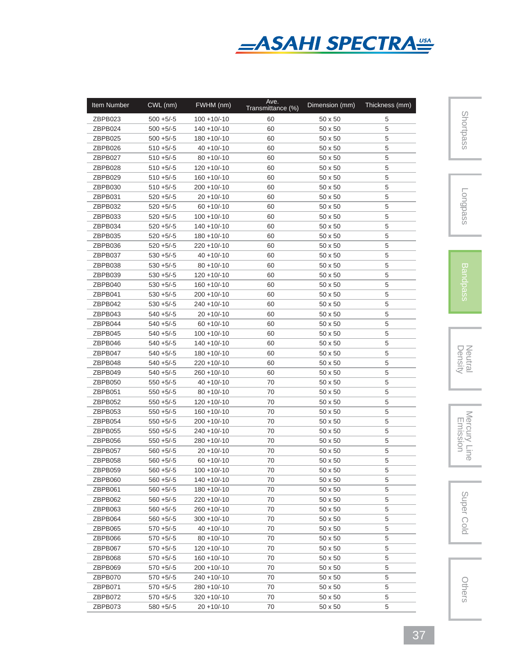

| ZBPB023<br>$100 + 10/ - 10$<br>60<br>5<br>$500 + 5/-5$<br>$50 \times 50$<br>ZBPB024<br>$140 + 10/-10$<br>60<br>5<br>$500 + 5/-5$<br>50 x 50<br>ZBPB025<br>$500 + 5/-5$<br>$180 + 10/-10$<br>60<br>50 x 50<br>5<br>$510 + 5/-5$<br>$40 + 10/-10$<br>5<br>ZBPB026<br>60<br>50 x 50<br>ZBPB027<br>$510 + 5/-5$<br>$80 + 10/-10$<br>60<br>50 x 50<br>5<br>ZBPB028<br>$510 + 5/-5$<br>$120 + 10/-10$<br>50 x 50<br>5<br>60<br>5<br>ZBPB029<br>$510 + 5/-5$<br>$160 + 10/-10$<br>60<br>50 x 50<br>ZBPB030<br>$510 + 5/-5$<br>$200 + 10/ - 10$<br>60<br>50 x 50<br>5<br>ZBPB031<br>$520 + 5/-5$<br>$20 + 10/-10$<br>60<br>50 x 50<br>5<br>ZBPB032<br>$520 + 5/-5$<br>$60 + 10/-10$<br>60<br>5<br>$50 \times 50$<br>5<br>ZBPB033<br>$520 + 5/-5$<br>$100 + 10/ - 10$<br>60<br>$50 \times 50$<br>ZBPB034<br>$520 + 5/-5$<br>$140 + 10/-10$<br>60<br>5<br>$50 \times 50$<br>5<br>ZBPB035<br>$520 + 5/-5$<br>$180 + 10/-10$<br>60<br>50 x 50<br>5<br>ZBPB036<br>$520 + 5/-5$<br>$220 + 10/ - 10$<br>60<br>50 x 50<br>5<br>ZBPB037<br>$530 + 5/-5$<br>$40 + 10/-10$<br>60<br>50 x 50<br>5<br>ZBPB038<br>$530 + 5/-5$<br>$80 + 10/-10$<br>60<br>50 x 50<br>5<br>$530 + 5/-5$<br>$120 + 10/ - 10$<br>ZBPB039<br>60<br>$50 \times 50$<br>5<br>$530 + 5/-5$<br>$160 + 10/-10$<br>60<br>50 x 50<br>ZBPB040<br>5<br>ZBPB041<br>$530 + 5/-5$<br>$200 + 10/ - 10$<br>60<br>50 x 50<br>5<br>ZBPB042<br>$530 + 5/-5$<br>$240 + 10/ - 10$<br>60<br>50 x 50<br>5<br>ZBPB043<br>$540 + 5/-5$<br>$20 + 10/-10$<br>60<br>50 x 50<br>5<br>ZBPB044<br>$540 + 5/-5$<br>$60 + 10/-10$<br>60<br>50 x 50<br>ZBPB045<br>$540 + 5/-5$<br>$100 + 10/-10$<br>50 x 50<br>5<br>60<br>ZBPB046<br>$540 + 5/-5$<br>$140 + 10/-10$<br>5<br>60<br>50 x 50<br>ZBPB047<br>$540 + 5/-5$<br>$180 + 10/-10$<br>60<br>50 x 50<br>5<br>ZBPB048<br>$540 + 5/-5$<br>$220 + 10/-10$<br>60<br>50 x 50<br>5<br>ZBPB049<br>$540 + 5/-5$<br>$260 + 10/-10$<br>60<br>50 x 50<br>5<br>ZBPB050<br>$550 + 5/-5$<br>$40 + 10/-10$<br>70<br>50 x 50<br>5<br>ZBPB051<br>$550 + 5/-5$<br>$80 + 10/-10$<br>70<br>50 x 50<br>5<br>ZBPB052<br>$550 + 5/-5$<br>$120 + 10/ - 10$<br>70<br>50 x 50<br>5<br>ZBPB053<br>$550 + 5/-5$<br>$160 + 10/-10$<br>70<br>50 x 50<br>5<br>ZBPB054<br>$550 + 5/-5$<br>$200 + 10/-10$<br>70<br>50 x 50<br>5<br>ZBPB055<br>$550 + 5/-5$<br>$240 + 10/ - 10$<br>70<br>50 x 50<br>5<br>70<br>5<br>ZBPB056<br>$550 + 5/-5$<br>$280 + 10/ - 10$<br>50 x 50<br>70<br>5<br>ZBPB057<br>$560 + 5/-5$<br>$20 + 10/-10$<br>50 x 50<br>5<br>70<br>ZBPB058<br>$560 + 5/-5$<br>$60 + 10/-10$<br>50 x 50<br>70<br>ZBPB059<br>$560 + 5/-5$<br>$100 + 10/-10$<br>50 x 50<br>5<br>5<br>ZBPB060<br>$560 + 5/-5$<br>$140 + 10/ - 10$<br>70<br>$50 \times 50$<br>$560 + 5/-5$<br>$180 + 10/-10$<br>70<br>50 x 50<br>5<br>ZBPB061<br>$560 + 5/-5$<br>70<br>5<br>ZBPB062<br>220 +10/-10<br>$50 \times 50$<br>5<br>$560 + 5/-5$<br>$260 + 10/-10$<br>70<br>ZBPB063<br>$50 \times 50$<br>ZBPB064<br>$560 + 5/-5$<br>$300 + 10/-10$<br>70<br>50 x 50<br>5<br>ZBPB065<br>$570 + 5/-5$<br>$40 + 10/-10$<br>70<br>50 x 50<br>5<br>5<br>ZBPB066<br>$570 + 5/-5$<br>70<br>50 x 50<br>$80 + 10/-10$<br>ZBPB067<br>$570 + 5/-5$<br>$120 + 10/-10$<br>70<br>50 x 50<br>5<br>ZBPB068<br>$570 + 5/-5$<br>$160 + 10/-10$<br>70<br>50 x 50<br>5<br>$570 + 5/-5$<br>$200 + 10/-10$<br>ZBPB069<br>70<br>50 x 50<br>5<br>ZBPB070<br>$570 + 5/-5$<br>$240 + 10/-10$<br>70<br>50 x 50<br>5<br>ZBPB071<br>$570 + 5/-5$<br>$280 + 10/-10$<br>70<br>50 x 50<br>5<br>ZBPB072<br>$570 + 5/-5$<br>$320 + 10/-10$<br>70<br>50 x 50<br>5 | Item Number | CWL (nm)     | FWHM (nm)     | Ave.<br>Transmittance (%) | Dimension (mm) | Thickness (mm) |
|-------------------------------------------------------------------------------------------------------------------------------------------------------------------------------------------------------------------------------------------------------------------------------------------------------------------------------------------------------------------------------------------------------------------------------------------------------------------------------------------------------------------------------------------------------------------------------------------------------------------------------------------------------------------------------------------------------------------------------------------------------------------------------------------------------------------------------------------------------------------------------------------------------------------------------------------------------------------------------------------------------------------------------------------------------------------------------------------------------------------------------------------------------------------------------------------------------------------------------------------------------------------------------------------------------------------------------------------------------------------------------------------------------------------------------------------------------------------------------------------------------------------------------------------------------------------------------------------------------------------------------------------------------------------------------------------------------------------------------------------------------------------------------------------------------------------------------------------------------------------------------------------------------------------------------------------------------------------------------------------------------------------------------------------------------------------------------------------------------------------------------------------------------------------------------------------------------------------------------------------------------------------------------------------------------------------------------------------------------------------------------------------------------------------------------------------------------------------------------------------------------------------------------------------------------------------------------------------------------------------------------------------------------------------------------------------------------------------------------------------------------------------------------------------------------------------------------------------------------------------------------------------------------------------------------------------------------------------------------------------------------------------------------------------------------------------------------------------------------------------------------------------------------------------------------------------------------------------------------------------------------------------------------------------------------------------------------------------------------------------------------------------------------------------------------------------------------------------------------------------------------------------------------------------------|-------------|--------------|---------------|---------------------------|----------------|----------------|
|                                                                                                                                                                                                                                                                                                                                                                                                                                                                                                                                                                                                                                                                                                                                                                                                                                                                                                                                                                                                                                                                                                                                                                                                                                                                                                                                                                                                                                                                                                                                                                                                                                                                                                                                                                                                                                                                                                                                                                                                                                                                                                                                                                                                                                                                                                                                                                                                                                                                                                                                                                                                                                                                                                                                                                                                                                                                                                                                                                                                                                                                                                                                                                                                                                                                                                                                                                                                                                                                                                                                                 |             |              |               |                           |                |                |
|                                                                                                                                                                                                                                                                                                                                                                                                                                                                                                                                                                                                                                                                                                                                                                                                                                                                                                                                                                                                                                                                                                                                                                                                                                                                                                                                                                                                                                                                                                                                                                                                                                                                                                                                                                                                                                                                                                                                                                                                                                                                                                                                                                                                                                                                                                                                                                                                                                                                                                                                                                                                                                                                                                                                                                                                                                                                                                                                                                                                                                                                                                                                                                                                                                                                                                                                                                                                                                                                                                                                                 |             |              |               |                           |                |                |
|                                                                                                                                                                                                                                                                                                                                                                                                                                                                                                                                                                                                                                                                                                                                                                                                                                                                                                                                                                                                                                                                                                                                                                                                                                                                                                                                                                                                                                                                                                                                                                                                                                                                                                                                                                                                                                                                                                                                                                                                                                                                                                                                                                                                                                                                                                                                                                                                                                                                                                                                                                                                                                                                                                                                                                                                                                                                                                                                                                                                                                                                                                                                                                                                                                                                                                                                                                                                                                                                                                                                                 |             |              |               |                           |                |                |
|                                                                                                                                                                                                                                                                                                                                                                                                                                                                                                                                                                                                                                                                                                                                                                                                                                                                                                                                                                                                                                                                                                                                                                                                                                                                                                                                                                                                                                                                                                                                                                                                                                                                                                                                                                                                                                                                                                                                                                                                                                                                                                                                                                                                                                                                                                                                                                                                                                                                                                                                                                                                                                                                                                                                                                                                                                                                                                                                                                                                                                                                                                                                                                                                                                                                                                                                                                                                                                                                                                                                                 |             |              |               |                           |                |                |
|                                                                                                                                                                                                                                                                                                                                                                                                                                                                                                                                                                                                                                                                                                                                                                                                                                                                                                                                                                                                                                                                                                                                                                                                                                                                                                                                                                                                                                                                                                                                                                                                                                                                                                                                                                                                                                                                                                                                                                                                                                                                                                                                                                                                                                                                                                                                                                                                                                                                                                                                                                                                                                                                                                                                                                                                                                                                                                                                                                                                                                                                                                                                                                                                                                                                                                                                                                                                                                                                                                                                                 |             |              |               |                           |                |                |
|                                                                                                                                                                                                                                                                                                                                                                                                                                                                                                                                                                                                                                                                                                                                                                                                                                                                                                                                                                                                                                                                                                                                                                                                                                                                                                                                                                                                                                                                                                                                                                                                                                                                                                                                                                                                                                                                                                                                                                                                                                                                                                                                                                                                                                                                                                                                                                                                                                                                                                                                                                                                                                                                                                                                                                                                                                                                                                                                                                                                                                                                                                                                                                                                                                                                                                                                                                                                                                                                                                                                                 |             |              |               |                           |                |                |
|                                                                                                                                                                                                                                                                                                                                                                                                                                                                                                                                                                                                                                                                                                                                                                                                                                                                                                                                                                                                                                                                                                                                                                                                                                                                                                                                                                                                                                                                                                                                                                                                                                                                                                                                                                                                                                                                                                                                                                                                                                                                                                                                                                                                                                                                                                                                                                                                                                                                                                                                                                                                                                                                                                                                                                                                                                                                                                                                                                                                                                                                                                                                                                                                                                                                                                                                                                                                                                                                                                                                                 |             |              |               |                           |                |                |
|                                                                                                                                                                                                                                                                                                                                                                                                                                                                                                                                                                                                                                                                                                                                                                                                                                                                                                                                                                                                                                                                                                                                                                                                                                                                                                                                                                                                                                                                                                                                                                                                                                                                                                                                                                                                                                                                                                                                                                                                                                                                                                                                                                                                                                                                                                                                                                                                                                                                                                                                                                                                                                                                                                                                                                                                                                                                                                                                                                                                                                                                                                                                                                                                                                                                                                                                                                                                                                                                                                                                                 |             |              |               |                           |                |                |
|                                                                                                                                                                                                                                                                                                                                                                                                                                                                                                                                                                                                                                                                                                                                                                                                                                                                                                                                                                                                                                                                                                                                                                                                                                                                                                                                                                                                                                                                                                                                                                                                                                                                                                                                                                                                                                                                                                                                                                                                                                                                                                                                                                                                                                                                                                                                                                                                                                                                                                                                                                                                                                                                                                                                                                                                                                                                                                                                                                                                                                                                                                                                                                                                                                                                                                                                                                                                                                                                                                                                                 |             |              |               |                           |                |                |
|                                                                                                                                                                                                                                                                                                                                                                                                                                                                                                                                                                                                                                                                                                                                                                                                                                                                                                                                                                                                                                                                                                                                                                                                                                                                                                                                                                                                                                                                                                                                                                                                                                                                                                                                                                                                                                                                                                                                                                                                                                                                                                                                                                                                                                                                                                                                                                                                                                                                                                                                                                                                                                                                                                                                                                                                                                                                                                                                                                                                                                                                                                                                                                                                                                                                                                                                                                                                                                                                                                                                                 |             |              |               |                           |                |                |
|                                                                                                                                                                                                                                                                                                                                                                                                                                                                                                                                                                                                                                                                                                                                                                                                                                                                                                                                                                                                                                                                                                                                                                                                                                                                                                                                                                                                                                                                                                                                                                                                                                                                                                                                                                                                                                                                                                                                                                                                                                                                                                                                                                                                                                                                                                                                                                                                                                                                                                                                                                                                                                                                                                                                                                                                                                                                                                                                                                                                                                                                                                                                                                                                                                                                                                                                                                                                                                                                                                                                                 |             |              |               |                           |                |                |
|                                                                                                                                                                                                                                                                                                                                                                                                                                                                                                                                                                                                                                                                                                                                                                                                                                                                                                                                                                                                                                                                                                                                                                                                                                                                                                                                                                                                                                                                                                                                                                                                                                                                                                                                                                                                                                                                                                                                                                                                                                                                                                                                                                                                                                                                                                                                                                                                                                                                                                                                                                                                                                                                                                                                                                                                                                                                                                                                                                                                                                                                                                                                                                                                                                                                                                                                                                                                                                                                                                                                                 |             |              |               |                           |                |                |
|                                                                                                                                                                                                                                                                                                                                                                                                                                                                                                                                                                                                                                                                                                                                                                                                                                                                                                                                                                                                                                                                                                                                                                                                                                                                                                                                                                                                                                                                                                                                                                                                                                                                                                                                                                                                                                                                                                                                                                                                                                                                                                                                                                                                                                                                                                                                                                                                                                                                                                                                                                                                                                                                                                                                                                                                                                                                                                                                                                                                                                                                                                                                                                                                                                                                                                                                                                                                                                                                                                                                                 |             |              |               |                           |                |                |
|                                                                                                                                                                                                                                                                                                                                                                                                                                                                                                                                                                                                                                                                                                                                                                                                                                                                                                                                                                                                                                                                                                                                                                                                                                                                                                                                                                                                                                                                                                                                                                                                                                                                                                                                                                                                                                                                                                                                                                                                                                                                                                                                                                                                                                                                                                                                                                                                                                                                                                                                                                                                                                                                                                                                                                                                                                                                                                                                                                                                                                                                                                                                                                                                                                                                                                                                                                                                                                                                                                                                                 |             |              |               |                           |                |                |
|                                                                                                                                                                                                                                                                                                                                                                                                                                                                                                                                                                                                                                                                                                                                                                                                                                                                                                                                                                                                                                                                                                                                                                                                                                                                                                                                                                                                                                                                                                                                                                                                                                                                                                                                                                                                                                                                                                                                                                                                                                                                                                                                                                                                                                                                                                                                                                                                                                                                                                                                                                                                                                                                                                                                                                                                                                                                                                                                                                                                                                                                                                                                                                                                                                                                                                                                                                                                                                                                                                                                                 |             |              |               |                           |                |                |
|                                                                                                                                                                                                                                                                                                                                                                                                                                                                                                                                                                                                                                                                                                                                                                                                                                                                                                                                                                                                                                                                                                                                                                                                                                                                                                                                                                                                                                                                                                                                                                                                                                                                                                                                                                                                                                                                                                                                                                                                                                                                                                                                                                                                                                                                                                                                                                                                                                                                                                                                                                                                                                                                                                                                                                                                                                                                                                                                                                                                                                                                                                                                                                                                                                                                                                                                                                                                                                                                                                                                                 |             |              |               |                           |                |                |
|                                                                                                                                                                                                                                                                                                                                                                                                                                                                                                                                                                                                                                                                                                                                                                                                                                                                                                                                                                                                                                                                                                                                                                                                                                                                                                                                                                                                                                                                                                                                                                                                                                                                                                                                                                                                                                                                                                                                                                                                                                                                                                                                                                                                                                                                                                                                                                                                                                                                                                                                                                                                                                                                                                                                                                                                                                                                                                                                                                                                                                                                                                                                                                                                                                                                                                                                                                                                                                                                                                                                                 |             |              |               |                           |                |                |
|                                                                                                                                                                                                                                                                                                                                                                                                                                                                                                                                                                                                                                                                                                                                                                                                                                                                                                                                                                                                                                                                                                                                                                                                                                                                                                                                                                                                                                                                                                                                                                                                                                                                                                                                                                                                                                                                                                                                                                                                                                                                                                                                                                                                                                                                                                                                                                                                                                                                                                                                                                                                                                                                                                                                                                                                                                                                                                                                                                                                                                                                                                                                                                                                                                                                                                                                                                                                                                                                                                                                                 |             |              |               |                           |                |                |
|                                                                                                                                                                                                                                                                                                                                                                                                                                                                                                                                                                                                                                                                                                                                                                                                                                                                                                                                                                                                                                                                                                                                                                                                                                                                                                                                                                                                                                                                                                                                                                                                                                                                                                                                                                                                                                                                                                                                                                                                                                                                                                                                                                                                                                                                                                                                                                                                                                                                                                                                                                                                                                                                                                                                                                                                                                                                                                                                                                                                                                                                                                                                                                                                                                                                                                                                                                                                                                                                                                                                                 |             |              |               |                           |                |                |
|                                                                                                                                                                                                                                                                                                                                                                                                                                                                                                                                                                                                                                                                                                                                                                                                                                                                                                                                                                                                                                                                                                                                                                                                                                                                                                                                                                                                                                                                                                                                                                                                                                                                                                                                                                                                                                                                                                                                                                                                                                                                                                                                                                                                                                                                                                                                                                                                                                                                                                                                                                                                                                                                                                                                                                                                                                                                                                                                                                                                                                                                                                                                                                                                                                                                                                                                                                                                                                                                                                                                                 |             |              |               |                           |                |                |
|                                                                                                                                                                                                                                                                                                                                                                                                                                                                                                                                                                                                                                                                                                                                                                                                                                                                                                                                                                                                                                                                                                                                                                                                                                                                                                                                                                                                                                                                                                                                                                                                                                                                                                                                                                                                                                                                                                                                                                                                                                                                                                                                                                                                                                                                                                                                                                                                                                                                                                                                                                                                                                                                                                                                                                                                                                                                                                                                                                                                                                                                                                                                                                                                                                                                                                                                                                                                                                                                                                                                                 |             |              |               |                           |                |                |
|                                                                                                                                                                                                                                                                                                                                                                                                                                                                                                                                                                                                                                                                                                                                                                                                                                                                                                                                                                                                                                                                                                                                                                                                                                                                                                                                                                                                                                                                                                                                                                                                                                                                                                                                                                                                                                                                                                                                                                                                                                                                                                                                                                                                                                                                                                                                                                                                                                                                                                                                                                                                                                                                                                                                                                                                                                                                                                                                                                                                                                                                                                                                                                                                                                                                                                                                                                                                                                                                                                                                                 |             |              |               |                           |                |                |
|                                                                                                                                                                                                                                                                                                                                                                                                                                                                                                                                                                                                                                                                                                                                                                                                                                                                                                                                                                                                                                                                                                                                                                                                                                                                                                                                                                                                                                                                                                                                                                                                                                                                                                                                                                                                                                                                                                                                                                                                                                                                                                                                                                                                                                                                                                                                                                                                                                                                                                                                                                                                                                                                                                                                                                                                                                                                                                                                                                                                                                                                                                                                                                                                                                                                                                                                                                                                                                                                                                                                                 |             |              |               |                           |                |                |
|                                                                                                                                                                                                                                                                                                                                                                                                                                                                                                                                                                                                                                                                                                                                                                                                                                                                                                                                                                                                                                                                                                                                                                                                                                                                                                                                                                                                                                                                                                                                                                                                                                                                                                                                                                                                                                                                                                                                                                                                                                                                                                                                                                                                                                                                                                                                                                                                                                                                                                                                                                                                                                                                                                                                                                                                                                                                                                                                                                                                                                                                                                                                                                                                                                                                                                                                                                                                                                                                                                                                                 |             |              |               |                           |                |                |
|                                                                                                                                                                                                                                                                                                                                                                                                                                                                                                                                                                                                                                                                                                                                                                                                                                                                                                                                                                                                                                                                                                                                                                                                                                                                                                                                                                                                                                                                                                                                                                                                                                                                                                                                                                                                                                                                                                                                                                                                                                                                                                                                                                                                                                                                                                                                                                                                                                                                                                                                                                                                                                                                                                                                                                                                                                                                                                                                                                                                                                                                                                                                                                                                                                                                                                                                                                                                                                                                                                                                                 |             |              |               |                           |                |                |
|                                                                                                                                                                                                                                                                                                                                                                                                                                                                                                                                                                                                                                                                                                                                                                                                                                                                                                                                                                                                                                                                                                                                                                                                                                                                                                                                                                                                                                                                                                                                                                                                                                                                                                                                                                                                                                                                                                                                                                                                                                                                                                                                                                                                                                                                                                                                                                                                                                                                                                                                                                                                                                                                                                                                                                                                                                                                                                                                                                                                                                                                                                                                                                                                                                                                                                                                                                                                                                                                                                                                                 |             |              |               |                           |                |                |
|                                                                                                                                                                                                                                                                                                                                                                                                                                                                                                                                                                                                                                                                                                                                                                                                                                                                                                                                                                                                                                                                                                                                                                                                                                                                                                                                                                                                                                                                                                                                                                                                                                                                                                                                                                                                                                                                                                                                                                                                                                                                                                                                                                                                                                                                                                                                                                                                                                                                                                                                                                                                                                                                                                                                                                                                                                                                                                                                                                                                                                                                                                                                                                                                                                                                                                                                                                                                                                                                                                                                                 |             |              |               |                           |                |                |
|                                                                                                                                                                                                                                                                                                                                                                                                                                                                                                                                                                                                                                                                                                                                                                                                                                                                                                                                                                                                                                                                                                                                                                                                                                                                                                                                                                                                                                                                                                                                                                                                                                                                                                                                                                                                                                                                                                                                                                                                                                                                                                                                                                                                                                                                                                                                                                                                                                                                                                                                                                                                                                                                                                                                                                                                                                                                                                                                                                                                                                                                                                                                                                                                                                                                                                                                                                                                                                                                                                                                                 |             |              |               |                           |                |                |
|                                                                                                                                                                                                                                                                                                                                                                                                                                                                                                                                                                                                                                                                                                                                                                                                                                                                                                                                                                                                                                                                                                                                                                                                                                                                                                                                                                                                                                                                                                                                                                                                                                                                                                                                                                                                                                                                                                                                                                                                                                                                                                                                                                                                                                                                                                                                                                                                                                                                                                                                                                                                                                                                                                                                                                                                                                                                                                                                                                                                                                                                                                                                                                                                                                                                                                                                                                                                                                                                                                                                                 |             |              |               |                           |                |                |
|                                                                                                                                                                                                                                                                                                                                                                                                                                                                                                                                                                                                                                                                                                                                                                                                                                                                                                                                                                                                                                                                                                                                                                                                                                                                                                                                                                                                                                                                                                                                                                                                                                                                                                                                                                                                                                                                                                                                                                                                                                                                                                                                                                                                                                                                                                                                                                                                                                                                                                                                                                                                                                                                                                                                                                                                                                                                                                                                                                                                                                                                                                                                                                                                                                                                                                                                                                                                                                                                                                                                                 |             |              |               |                           |                |                |
|                                                                                                                                                                                                                                                                                                                                                                                                                                                                                                                                                                                                                                                                                                                                                                                                                                                                                                                                                                                                                                                                                                                                                                                                                                                                                                                                                                                                                                                                                                                                                                                                                                                                                                                                                                                                                                                                                                                                                                                                                                                                                                                                                                                                                                                                                                                                                                                                                                                                                                                                                                                                                                                                                                                                                                                                                                                                                                                                                                                                                                                                                                                                                                                                                                                                                                                                                                                                                                                                                                                                                 |             |              |               |                           |                |                |
|                                                                                                                                                                                                                                                                                                                                                                                                                                                                                                                                                                                                                                                                                                                                                                                                                                                                                                                                                                                                                                                                                                                                                                                                                                                                                                                                                                                                                                                                                                                                                                                                                                                                                                                                                                                                                                                                                                                                                                                                                                                                                                                                                                                                                                                                                                                                                                                                                                                                                                                                                                                                                                                                                                                                                                                                                                                                                                                                                                                                                                                                                                                                                                                                                                                                                                                                                                                                                                                                                                                                                 |             |              |               |                           |                |                |
|                                                                                                                                                                                                                                                                                                                                                                                                                                                                                                                                                                                                                                                                                                                                                                                                                                                                                                                                                                                                                                                                                                                                                                                                                                                                                                                                                                                                                                                                                                                                                                                                                                                                                                                                                                                                                                                                                                                                                                                                                                                                                                                                                                                                                                                                                                                                                                                                                                                                                                                                                                                                                                                                                                                                                                                                                                                                                                                                                                                                                                                                                                                                                                                                                                                                                                                                                                                                                                                                                                                                                 |             |              |               |                           |                |                |
|                                                                                                                                                                                                                                                                                                                                                                                                                                                                                                                                                                                                                                                                                                                                                                                                                                                                                                                                                                                                                                                                                                                                                                                                                                                                                                                                                                                                                                                                                                                                                                                                                                                                                                                                                                                                                                                                                                                                                                                                                                                                                                                                                                                                                                                                                                                                                                                                                                                                                                                                                                                                                                                                                                                                                                                                                                                                                                                                                                                                                                                                                                                                                                                                                                                                                                                                                                                                                                                                                                                                                 |             |              |               |                           |                |                |
|                                                                                                                                                                                                                                                                                                                                                                                                                                                                                                                                                                                                                                                                                                                                                                                                                                                                                                                                                                                                                                                                                                                                                                                                                                                                                                                                                                                                                                                                                                                                                                                                                                                                                                                                                                                                                                                                                                                                                                                                                                                                                                                                                                                                                                                                                                                                                                                                                                                                                                                                                                                                                                                                                                                                                                                                                                                                                                                                                                                                                                                                                                                                                                                                                                                                                                                                                                                                                                                                                                                                                 |             |              |               |                           |                |                |
|                                                                                                                                                                                                                                                                                                                                                                                                                                                                                                                                                                                                                                                                                                                                                                                                                                                                                                                                                                                                                                                                                                                                                                                                                                                                                                                                                                                                                                                                                                                                                                                                                                                                                                                                                                                                                                                                                                                                                                                                                                                                                                                                                                                                                                                                                                                                                                                                                                                                                                                                                                                                                                                                                                                                                                                                                                                                                                                                                                                                                                                                                                                                                                                                                                                                                                                                                                                                                                                                                                                                                 |             |              |               |                           |                |                |
|                                                                                                                                                                                                                                                                                                                                                                                                                                                                                                                                                                                                                                                                                                                                                                                                                                                                                                                                                                                                                                                                                                                                                                                                                                                                                                                                                                                                                                                                                                                                                                                                                                                                                                                                                                                                                                                                                                                                                                                                                                                                                                                                                                                                                                                                                                                                                                                                                                                                                                                                                                                                                                                                                                                                                                                                                                                                                                                                                                                                                                                                                                                                                                                                                                                                                                                                                                                                                                                                                                                                                 |             |              |               |                           |                |                |
|                                                                                                                                                                                                                                                                                                                                                                                                                                                                                                                                                                                                                                                                                                                                                                                                                                                                                                                                                                                                                                                                                                                                                                                                                                                                                                                                                                                                                                                                                                                                                                                                                                                                                                                                                                                                                                                                                                                                                                                                                                                                                                                                                                                                                                                                                                                                                                                                                                                                                                                                                                                                                                                                                                                                                                                                                                                                                                                                                                                                                                                                                                                                                                                                                                                                                                                                                                                                                                                                                                                                                 |             |              |               |                           |                |                |
|                                                                                                                                                                                                                                                                                                                                                                                                                                                                                                                                                                                                                                                                                                                                                                                                                                                                                                                                                                                                                                                                                                                                                                                                                                                                                                                                                                                                                                                                                                                                                                                                                                                                                                                                                                                                                                                                                                                                                                                                                                                                                                                                                                                                                                                                                                                                                                                                                                                                                                                                                                                                                                                                                                                                                                                                                                                                                                                                                                                                                                                                                                                                                                                                                                                                                                                                                                                                                                                                                                                                                 |             |              |               |                           |                |                |
|                                                                                                                                                                                                                                                                                                                                                                                                                                                                                                                                                                                                                                                                                                                                                                                                                                                                                                                                                                                                                                                                                                                                                                                                                                                                                                                                                                                                                                                                                                                                                                                                                                                                                                                                                                                                                                                                                                                                                                                                                                                                                                                                                                                                                                                                                                                                                                                                                                                                                                                                                                                                                                                                                                                                                                                                                                                                                                                                                                                                                                                                                                                                                                                                                                                                                                                                                                                                                                                                                                                                                 |             |              |               |                           |                |                |
|                                                                                                                                                                                                                                                                                                                                                                                                                                                                                                                                                                                                                                                                                                                                                                                                                                                                                                                                                                                                                                                                                                                                                                                                                                                                                                                                                                                                                                                                                                                                                                                                                                                                                                                                                                                                                                                                                                                                                                                                                                                                                                                                                                                                                                                                                                                                                                                                                                                                                                                                                                                                                                                                                                                                                                                                                                                                                                                                                                                                                                                                                                                                                                                                                                                                                                                                                                                                                                                                                                                                                 |             |              |               |                           |                |                |
|                                                                                                                                                                                                                                                                                                                                                                                                                                                                                                                                                                                                                                                                                                                                                                                                                                                                                                                                                                                                                                                                                                                                                                                                                                                                                                                                                                                                                                                                                                                                                                                                                                                                                                                                                                                                                                                                                                                                                                                                                                                                                                                                                                                                                                                                                                                                                                                                                                                                                                                                                                                                                                                                                                                                                                                                                                                                                                                                                                                                                                                                                                                                                                                                                                                                                                                                                                                                                                                                                                                                                 |             |              |               |                           |                |                |
|                                                                                                                                                                                                                                                                                                                                                                                                                                                                                                                                                                                                                                                                                                                                                                                                                                                                                                                                                                                                                                                                                                                                                                                                                                                                                                                                                                                                                                                                                                                                                                                                                                                                                                                                                                                                                                                                                                                                                                                                                                                                                                                                                                                                                                                                                                                                                                                                                                                                                                                                                                                                                                                                                                                                                                                                                                                                                                                                                                                                                                                                                                                                                                                                                                                                                                                                                                                                                                                                                                                                                 |             |              |               |                           |                |                |
|                                                                                                                                                                                                                                                                                                                                                                                                                                                                                                                                                                                                                                                                                                                                                                                                                                                                                                                                                                                                                                                                                                                                                                                                                                                                                                                                                                                                                                                                                                                                                                                                                                                                                                                                                                                                                                                                                                                                                                                                                                                                                                                                                                                                                                                                                                                                                                                                                                                                                                                                                                                                                                                                                                                                                                                                                                                                                                                                                                                                                                                                                                                                                                                                                                                                                                                                                                                                                                                                                                                                                 |             |              |               |                           |                |                |
|                                                                                                                                                                                                                                                                                                                                                                                                                                                                                                                                                                                                                                                                                                                                                                                                                                                                                                                                                                                                                                                                                                                                                                                                                                                                                                                                                                                                                                                                                                                                                                                                                                                                                                                                                                                                                                                                                                                                                                                                                                                                                                                                                                                                                                                                                                                                                                                                                                                                                                                                                                                                                                                                                                                                                                                                                                                                                                                                                                                                                                                                                                                                                                                                                                                                                                                                                                                                                                                                                                                                                 |             |              |               |                           |                |                |
|                                                                                                                                                                                                                                                                                                                                                                                                                                                                                                                                                                                                                                                                                                                                                                                                                                                                                                                                                                                                                                                                                                                                                                                                                                                                                                                                                                                                                                                                                                                                                                                                                                                                                                                                                                                                                                                                                                                                                                                                                                                                                                                                                                                                                                                                                                                                                                                                                                                                                                                                                                                                                                                                                                                                                                                                                                                                                                                                                                                                                                                                                                                                                                                                                                                                                                                                                                                                                                                                                                                                                 |             |              |               |                           |                |                |
|                                                                                                                                                                                                                                                                                                                                                                                                                                                                                                                                                                                                                                                                                                                                                                                                                                                                                                                                                                                                                                                                                                                                                                                                                                                                                                                                                                                                                                                                                                                                                                                                                                                                                                                                                                                                                                                                                                                                                                                                                                                                                                                                                                                                                                                                                                                                                                                                                                                                                                                                                                                                                                                                                                                                                                                                                                                                                                                                                                                                                                                                                                                                                                                                                                                                                                                                                                                                                                                                                                                                                 |             |              |               |                           |                |                |
|                                                                                                                                                                                                                                                                                                                                                                                                                                                                                                                                                                                                                                                                                                                                                                                                                                                                                                                                                                                                                                                                                                                                                                                                                                                                                                                                                                                                                                                                                                                                                                                                                                                                                                                                                                                                                                                                                                                                                                                                                                                                                                                                                                                                                                                                                                                                                                                                                                                                                                                                                                                                                                                                                                                                                                                                                                                                                                                                                                                                                                                                                                                                                                                                                                                                                                                                                                                                                                                                                                                                                 |             |              |               |                           |                |                |
|                                                                                                                                                                                                                                                                                                                                                                                                                                                                                                                                                                                                                                                                                                                                                                                                                                                                                                                                                                                                                                                                                                                                                                                                                                                                                                                                                                                                                                                                                                                                                                                                                                                                                                                                                                                                                                                                                                                                                                                                                                                                                                                                                                                                                                                                                                                                                                                                                                                                                                                                                                                                                                                                                                                                                                                                                                                                                                                                                                                                                                                                                                                                                                                                                                                                                                                                                                                                                                                                                                                                                 |             |              |               |                           |                |                |
|                                                                                                                                                                                                                                                                                                                                                                                                                                                                                                                                                                                                                                                                                                                                                                                                                                                                                                                                                                                                                                                                                                                                                                                                                                                                                                                                                                                                                                                                                                                                                                                                                                                                                                                                                                                                                                                                                                                                                                                                                                                                                                                                                                                                                                                                                                                                                                                                                                                                                                                                                                                                                                                                                                                                                                                                                                                                                                                                                                                                                                                                                                                                                                                                                                                                                                                                                                                                                                                                                                                                                 |             |              |               |                           |                |                |
|                                                                                                                                                                                                                                                                                                                                                                                                                                                                                                                                                                                                                                                                                                                                                                                                                                                                                                                                                                                                                                                                                                                                                                                                                                                                                                                                                                                                                                                                                                                                                                                                                                                                                                                                                                                                                                                                                                                                                                                                                                                                                                                                                                                                                                                                                                                                                                                                                                                                                                                                                                                                                                                                                                                                                                                                                                                                                                                                                                                                                                                                                                                                                                                                                                                                                                                                                                                                                                                                                                                                                 | ZBPB073     | $580 + 5/-5$ | $20 + 10/-10$ | 70                        | 50 x 50        | 5              |

Longpass



Neutral<br>Density

Density Neutral Mercury Line Emission Super ColdMercury Line<br>Emission

Super Cold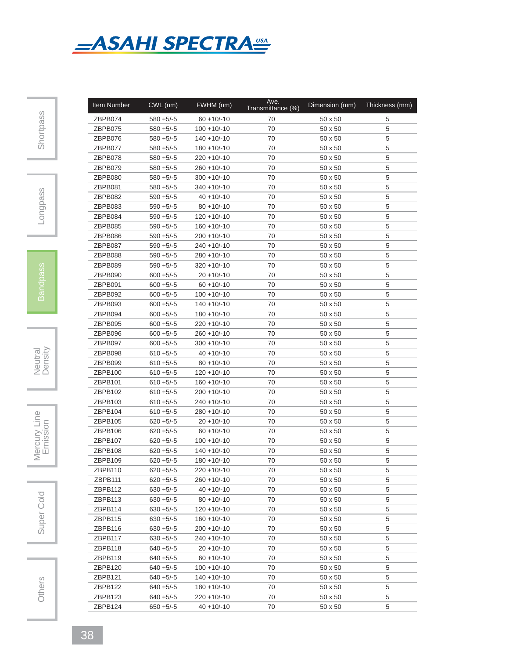

| <b>Item Number</b> | CWL (nm)     | FWHM (nm)        | Ave.<br>Transmittance (%) | Dimension (mm) | Thickness (mm) |
|--------------------|--------------|------------------|---------------------------|----------------|----------------|
| ZBPB074            | $580 + 5/-5$ | $60 + 10/-10$    | 70                        | $50 \times 50$ | 5              |
| ZBPB075            | $580 + 5/-5$ | $100 + 10/-10$   | 70                        | 50 x 50        | 5              |
| ZBPB076            | $580 + 5/-5$ | $140 + 10/ - 10$ | 70                        | 50 x 50        | 5              |
| ZBPB077            | $580 + 5/-5$ | $180 + 10/-10$   | 70                        | 50 x 50        | 5              |
| ZBPB078            | $580 + 5/-5$ | $220 + 10/-10$   | 70                        | 50 x 50        | 5              |
| ZBPB079            | $580 + 5/-5$ | $260 + 10/-10$   | 70                        | $50 \times 50$ | 5              |
| ZBPB080            | $580 + 5/-5$ | $300 + 10/-10$   | 70                        | $50 \times 50$ | 5              |
| ZBPB081            | $580 + 5/-5$ | $340 + 10/-10$   | 70                        | $50 \times 50$ | 5              |
| ZBPB082            | $590 + 5/-5$ | $40 + 10/-10$    | 70                        | 50 x 50        | 5              |
| ZBPB083            | $590 + 5/-5$ | $80 + 10/-10$    | 70                        | 50 x 50        | 5              |
| ZBPB084            | $590 + 5/-5$ | $120 + 10/ - 10$ | 70                        | $50 \times 50$ | 5              |
| ZBPB085            | $590 + 5/-5$ | $160 + 10/-10$   | 70                        | 50 x 50        | 5              |
| ZBPB086            | $590 + 5/-5$ | $200 + 10/-10$   | 70                        | $50 \times 50$ | 5              |
| ZBPB087            | $590 + 5/-5$ | $240 + 10/-10$   | 70                        | $50 \times 50$ | 5              |
| ZBPB088            | $590 + 5/-5$ | $280 + 10/-10$   | 70                        | $50 \times 50$ | 5              |
| ZBPB089            | $590 + 5/-5$ | $320 + 10/-10$   | 70                        | 50 x 50        | 5              |
| ZBPB090            | $600 + 5/-5$ | $20 + 10/-10$    | 70                        | $50 \times 50$ | 5              |
| ZBPB091            | $600 + 5/-5$ | $60 + 10/-10$    | 70                        | $50 \times 50$ | 5              |
| ZBPB092            | $600 + 5/-5$ | $100 + 10/-10$   | 70                        | $50 \times 50$ | 5              |
| ZBPB093            | $600 + 5/-5$ | $140 + 10/ - 10$ | 70                        | 50 x 50        | 5              |
| ZBPB094            | $600 + 5/-5$ | $180 + 10/-10$   | 70                        | $50 \times 50$ | 5              |
| ZBPB095            | $600 + 5/-5$ | $220 + 10/ - 10$ | 70                        | $50 \times 50$ | 5              |
| ZBPB096            | $600 + 5/-5$ | $260 + 10/ - 10$ | 70                        | 50 x 50        | 5              |
| ZBPB097            | $600 + 5/-5$ | $300 + 10/-10$   | 70                        | 50 x 50        | 5              |
| ZBPB098            | $610 + 5/-5$ | $40 + 10/-10$    | 70                        | 50 x 50        | 5              |
|                    |              |                  | 70                        |                | 5              |
| ZBPB099            | $610 + 5/-5$ | $80 + 10/-10$    |                           | 50 x 50        |                |
| ZBPB100            | $610 + 5/-5$ | $120 + 10/-10$   | 70                        | 50 x 50        | 5              |
| ZBPB101            | $610 + 5/-5$ | $160 + 10/-10$   | 70                        | 50 x 50        | 5              |
| ZBPB102            | $610 + 5/-5$ | $200 + 10/-10$   | 70                        | 50 x 50        | 5              |
| ZBPB103            | $610 + 5/-5$ | $240 + 10/-10$   | 70                        | 50 x 50        | 5              |
| ZBPB104            | $610 + 5/-5$ | $280 + 10/-10$   | 70                        | 50 x 50        | 5              |
| ZBPB105            | $620 + 5/-5$ | $20 + 10/-10$    | 70                        | 50 x 50        | 5              |
| ZBPB106            | $620 + 5/-5$ | $60 + 10/-10$    | 70                        | $50 \times 50$ | 5              |
| ZBPB107            | $620 + 5/-5$ | $100 + 10/-10$   | 70                        | $50 \times 50$ | 5              |
| ZBPB108            | $620 + 5/-5$ | $140 + 10/ - 10$ | 70                        | 50 x 50        | 5              |
| ZBPB109            | $620 + 5/-5$ | $180 + 10/-10$   | 70                        | 50 x 50        | 5              |
| ZBPB110            | $620 + 5/-5$ | $220 + 10/-10$   | $70\,$                    | $50\times50$   | 5              |
| ZBPB111            | $620 + 5/5$  | $260 + 10/-10$   | 70                        | $50 \times 50$ | 5              |
| ZBPB112            | $630 + 5/-5$ | $40 + 10/-10$    | 70                        | $50 \times 50$ | 5              |
| ZBPB113            | $630 + 5/-5$ | $80 + 10/-10$    | 70                        | 50 x 50        | 5              |
| ZBPB114            | $630 + 5/-5$ | $120 + 10/-10$   | 70                        | 50 x 50        | 5              |
| ZBPB115            | $630 + 5/-5$ | $160 + 10/-10$   | 70                        | $50 \times 50$ | 5              |
| ZBPB116            | $630 + 5/-5$ | $200 + 10/-10$   | 70                        | $50 \times 50$ | 5              |
| ZBPB117            | $630 + 5/-5$ | $240 + 10/-10$   | 70                        | $50 \times 50$ | 5              |
| ZBPB118            | $640 + 5/-5$ | $20 + 10/-10$    | 70                        | 50 x 50        | 5              |
| ZBPB119            | $640 + 5/-5$ | $60 + 10/-10$    | 70                        | 50 x 50        | 5              |
| ZBPB120            | $640 + 5/-5$ | $100 + 10/-10$   | 70                        | 50 x 50        | 5              |
| ZBPB121            | $640 + 5/-5$ | $140 + 10/-10$   | 70                        | 50 x 50        | 5              |
| ZBPB122            | $640 + 5/-5$ | $180 + 10/-10$   | 70                        | $50 \times 50$ | 5              |
| ZBPB123            | $640 + 5/-5$ | $220 + 10/ - 10$ | 70                        | $50 \times 50$ | 5              |
| ZBPB124            | $650 + 5/-5$ | $40 + 10/-10$    | 70                        | $50 \times 50$ | 5              |

Longpass

Neutral<br>Density

Mercury Line

Super Cold | Mercury Line<br>
Emission Super Cold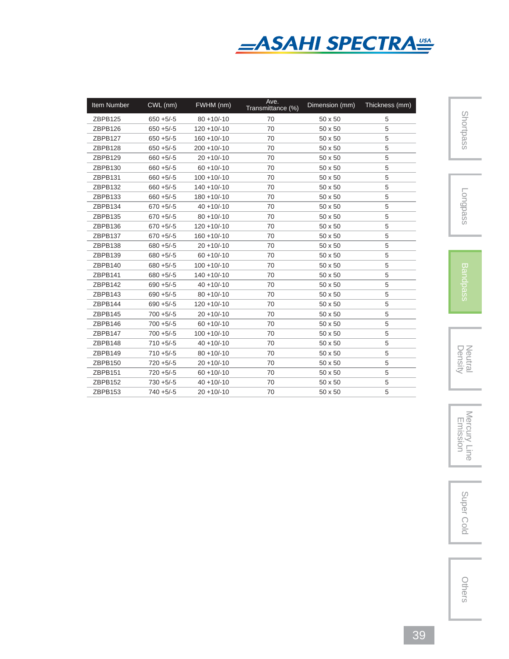

| <b>Item Number</b> | CWL (nm)      | FWHM (nm)      | Ave.<br>Transmittance (%) | Dimension (mm) | Thickness (mm) |
|--------------------|---------------|----------------|---------------------------|----------------|----------------|
| ZBPB125            | $650 + 5/-5$  | $80 + 10/-10$  | 70                        | 50 x 50        | 5              |
| ZBPB126            | $650 + 5/-5$  | $120 + 10/-10$ | 70                        | 50 x 50        | 5              |
| ZBPB127            | $650 + 5/5$   | $160 + 10/-10$ | 70                        | 50 x 50        | 5              |
| ZBPB128            | $650 + 5/5$   | $200 + 10/-10$ | 70                        | 50 x 50        | 5              |
| ZBPB129            | $660 + 5/-5$  | $20 + 10/-10$  | 70                        | 50 x 50        | 5              |
| ZBPB130            | $660 + 5/-5$  | $60 + 10/-10$  | 70                        | 50 x 50        | 5              |
| ZBPB131            | $660 + 5/ -5$ | $100 + 10/-10$ | 70                        | 50 x 50        | 5              |
| ZBPB132            | $660 + 5/-5$  | $140 + 10/-10$ | 70                        | 50 x 50        | 5              |
| ZBPB133            | $660 + 5/-5$  | $180 + 10/-10$ | 70                        | 50 x 50        | 5              |
| ZBPB134            | $670 + 5/-5$  | $40 + 10/-10$  | 70                        | 50 x 50        | 5              |
| ZBPB135            | $670 + 5/-5$  | $80 + 10/-10$  | 70                        | 50 x 50        | 5              |
| ZBPB136            | $670 + 5/-5$  | $120 + 10/-10$ | 70                        | 50 x 50        | 5              |
| ZBPB137            | $670 + 5/-5$  | $160 + 10/-10$ | 70                        | 50 x 50        | 5              |
| ZBPB138            | $680 + 5/-5$  | $20 + 10/-10$  | 70                        | 50 x 50        | 5              |
| ZBPB139            | $680 + 5/-5$  | $60 + 10/-10$  | 70                        | 50 x 50        | 5              |
| ZBPB140            | $680 + 5/-5$  | $100 + 10/-10$ | 70                        | 50 x 50        | 5              |
| ZBPB141            | $680 + 5/-5$  | $140 + 10/-10$ | 70                        | 50 x 50        | 5              |
| ZBPB142            | $690 + 5/-5$  | $40 + 10/-10$  | 70                        | 50 x 50        | 5              |
| ZBPB143            | $690 + 5/-5$  | $80 + 10/-10$  | 70                        | 50 x 50        | 5              |
| ZBPB144            | $690 + 5/-5$  | $120 + 10/-10$ | 70                        | 50 x 50        | 5              |
| ZBPB145            | $700 + 5/-5$  | $20 + 10/-10$  | 70                        | 50 x 50        | 5              |
| ZBPB146            | $700 + 5/-5$  | $60 + 10/-10$  | 70                        | 50 x 50        | 5              |
| ZBPB147            | $700 + 5/-5$  | $100 + 10/-10$ | 70                        | 50 x 50        | 5              |
| ZBPB148            | $710 + 5/-5$  | $40 + 10/-10$  | 70                        | 50 x 50        | 5              |
| ZBPB149            | $710 + 5/ -5$ | $80 + 10/-10$  | 70                        | 50 x 50        | 5              |
| ZBPB150            | $720 + 5/-5$  | $20 + 10/-10$  | 70                        | 50 x 50        | 5              |
| ZBPB151            | $720 + 5/-5$  | $60 + 10/-10$  | 70                        | 50 x 50        | 5              |
| ZBPB152            | $730 + 5/-5$  | $40 + 10/-10$  | 70                        | 50 x 50        | 5              |
| ZBPB153            | $740 + 5/-5$  | $20 + 10/-10$  | 70                        | 50 x 50        | 5              |

Longpass



Neutral<br>Density

Density Neutral Mercury Line Emission Super ColdMercury Line<br>Emission

Super Cold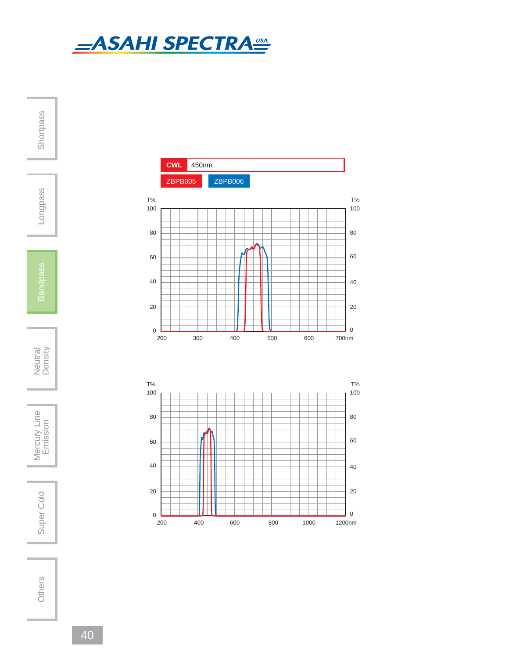

**Shortpass** Longpass Neutral<br>Density

Mercury Line Super Cold | Mercury Line<br>
Emission

Super Cold

Others



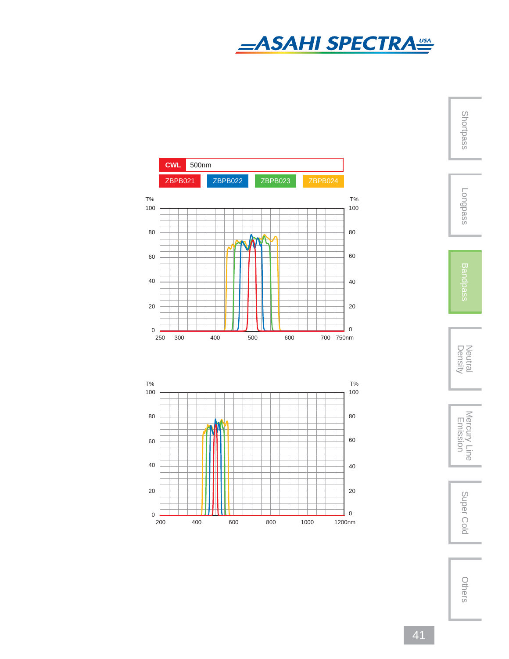

Shortpass

Longpass

Neutral<br>Density

Density Neutral Mercury Line Emission Super ColdMercury Line<br>Emission

Super Cold



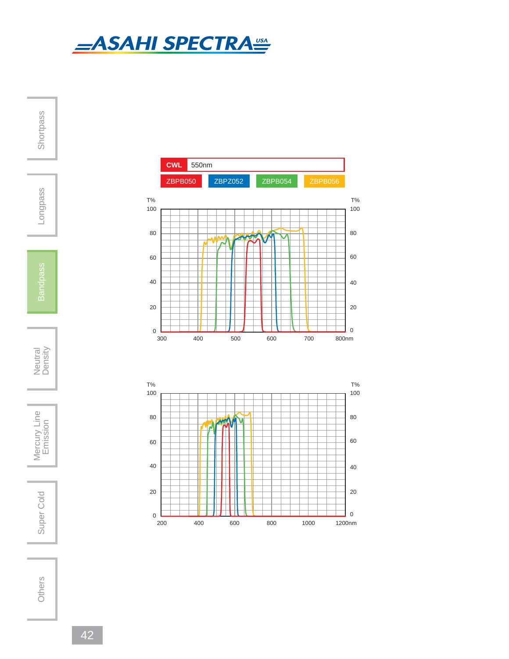

**Shortpass** Longpass

Neutral<br>Density

Mercury Line Super Cold | Mercury Line<br>
Emission

Super Cold



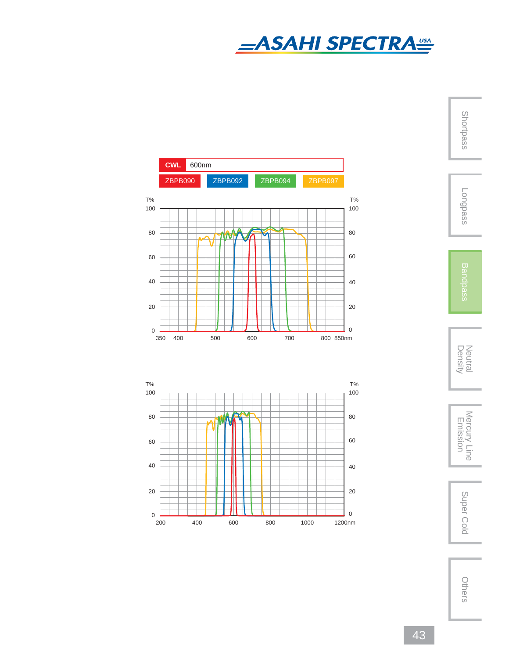

Shortpass

Longpass

Neutral<br>Density



Super Cold



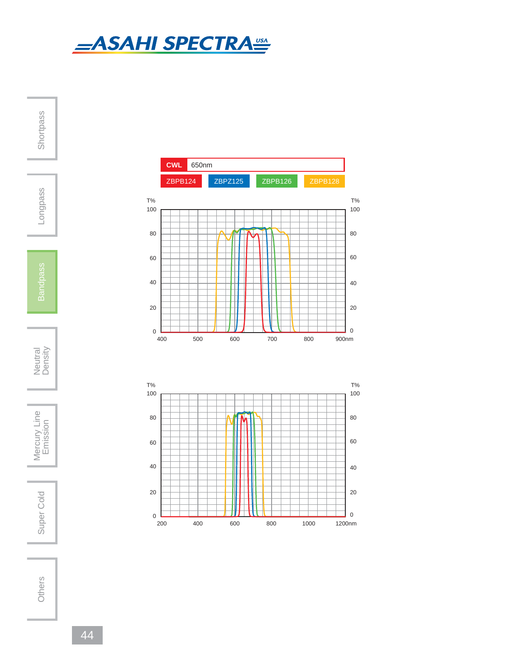

**Shortpass** Longpass Neutral<br>Density Mercury Line

Super Cold | Mercury Line<br>
Emission Super Cold



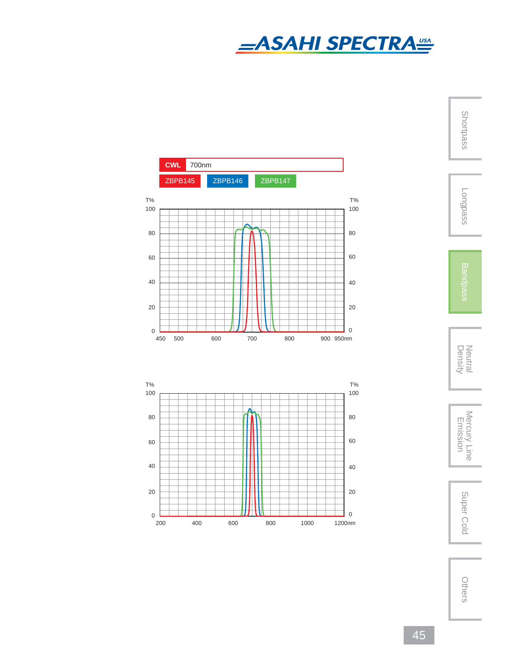

ShortpassLongpass





Super Cold



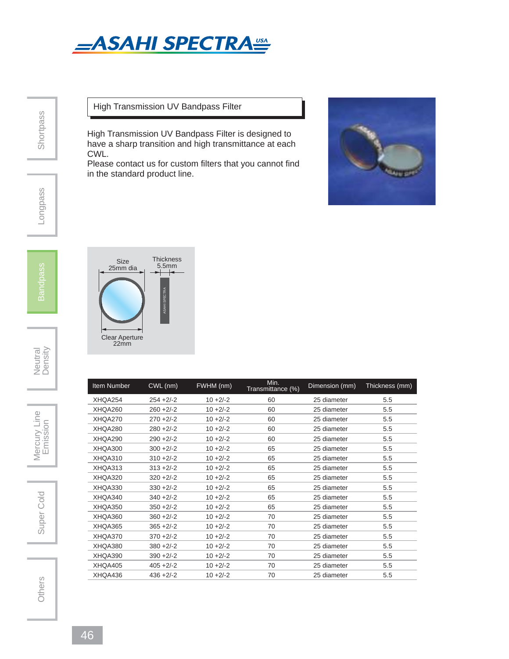

## High Transmission UV Bandpass Filter

High Transmission UV Bandpass Filter is designed to have a sharp transition and high transmittance at each CWL.

Please contact us for custom filters that you cannot find in the standard product line.



Neutral<br>Density

Mercury Line



Others

| Item Number | CWL (nm)     | FWHM (nm)   | Min.<br>Transmittance (%) | Dimension (mm) | Thickness (mm) |
|-------------|--------------|-------------|---------------------------|----------------|----------------|
| XHQA254     | $254 + 2/-2$ | $10 + 2/-2$ | 60                        | 25 diameter    | 5.5            |
| XHQA260     | $260 + 2/-2$ | $10 + 2/-2$ | 60                        | 25 diameter    | 5.5            |
| XHQA270     | $270 + 2/-2$ | $10 + 2/-2$ | 60                        | 25 diameter    | 5.5            |
| XHQA280     | $280 + 2/-2$ | $10 + 2/-2$ | 60                        | 25 diameter    | 5.5            |
| XHQA290     | $290 + 2/-2$ | $10 + 2/-2$ | 60                        | 25 diameter    | 5.5            |
| XHQA300     | $300 + 2/-2$ | $10 + 2/-2$ | 65                        | 25 diameter    | 5.5            |
| XHQA310     | $310 + 2/-2$ | $10 + 2/-2$ | 65                        | 25 diameter    | 5.5            |
| XHQA313     | $313 + 2/-2$ | $10 + 2/-2$ | 65                        | 25 diameter    | 5.5            |
| XHQA320     | $320 + 2/-2$ | $10 + 2/-2$ | 65                        | 25 diameter    | 5.5            |
| XHQA330     | $330 + 2/-2$ | $10 + 2/-2$ | 65                        | 25 diameter    | 5.5            |
| XHQA340     | $340 + 2/-2$ | $10 + 2/-2$ | 65                        | 25 diameter    | 5.5            |
| XHQA350     | $350 + 2/-2$ | $10 + 2/-2$ | 65                        | 25 diameter    | 5.5            |
| XHQA360     | $360 + 2/-2$ | $10 + 2/-2$ | 70                        | 25 diameter    | 5.5            |
| XHQA365     | $365 + 2/-2$ | $10 + 2/-2$ | 70                        | 25 diameter    | 5.5            |
| XHQA370     | $370 + 2/-2$ | $10 + 2/-2$ | 70                        | 25 diameter    | 5.5            |
| XHQA380     | $380 + 2/-2$ | $10 + 2/-2$ | 70                        | 25 diameter    | 5.5            |
| XHQA390     | $390 + 2/-2$ | $10 + 2/-2$ | 70                        | 25 diameter    | 5.5            |
| XHQA405     | $405 + 2/-2$ | $10 + 2/-2$ | 70                        | 25 diameter    | 5.5            |
| XHQA436     | $436 + 2/-2$ | $10 + 2/-2$ | 70                        | 25 diameter    | 5.5            |
|             |              |             |                           |                |                |

**Shortpass** 

Longpass